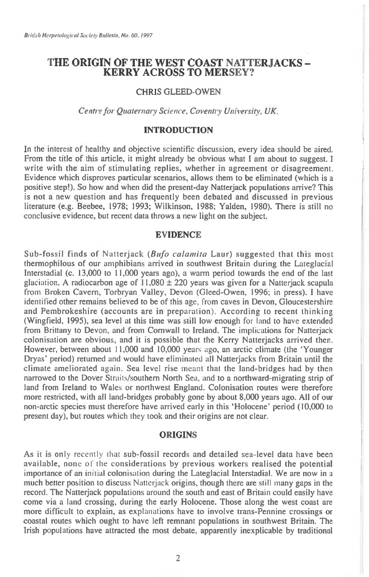# **THE ORIGIN OF THE WEST COAST NATTERJACKS - KERRY ACROSS TO MERSEY?**

## **CHRIS GLEED-OWEN**

Centre for Quaternary Science, Coventry University, UK.

## **INTRODUCTION**

**In the interest of healthy and objective scientific discussion, every idea should be aired. From the title of this article, it might already be obvious what I am about to suggest. I write with the aim of stimulating replies, whether in agreement or disagreement. Evidence which disproves particular scenarios, allows them to be eliminated (which is a positive step!). So how and when did the present-day Natterjack populations arrive? This is not a new question and has frequently been debated and discussed in previous literature (e.g. Beebee, 1978; 1993; Wilkinson, 1988; Yalden, 1980). There is still no conclusive evidence, but recent data throws a new light on the subject.** 

### **EVIDENCE**

**Sub-fossil finds of Natterjack** (Bufo calamita **Laur) suggested that this most thermophilous of our amphibians arrived in southwest Britain during the Lateglacial Interstadial (c. 13,000 to 11,000 years ago), a warm period towards the end of the last glaciation. A radiocarbon age of 11,080 ± 220 years was given for a Natterjack scapula from Broken Cavern, Torbryan Valley, Devon (Gleed-Owen, 1996; in press). I have identified other remains believed to be of this age, from caves in Devon, Gloucestershire and Pembrokeshire (accounts are in preparation). According to recent thinking (Wingfield, 1995), sea level at this time was still low enough for land to have extended from Brittany to Devon, and from Cornwall to Ireland. The implications for Natterjack colonisation are obvious, and it is possible that the Kerry Natterjacks arrived then. However, between about 11,000 and 10,000 years ago, an arctic climate (the `Younger Dryas' period) returned and would have eliminated all Natterjacks from Britain until the climate ameliorated again. Sea level rise meant that the land-bridges had by then narrowed to the Dover Straits/southern North Sea, and to a northward-migrating strip of land from Ireland to Wales or northwest England. Colonisation routes were therefore more restricted, with all land-bridges probably gone by about 8,000 years ago. All of our non-arctic species must therefore have arrived early in this `Holocene' period (10,000 to present day), but routes which they took and their origins are not clear.** 

#### **ORIGINS**

**As it is** only recently that **sub-fossil records and detailed sea-level data have been available, none** of the **considerations by previous workers realised the potential importance of an** initial colonisation **during the Lateglacial Interstadial. We are now in a much better position to discuss** Natterjack **origins, though there are** still **many gaps in the record. The Natterjack populations around the south and east of Britain could easily have come via a land crossing, during the early Holocene. Those along the west coast are more difficult to explain, as explanations have to involve trans-Pennine crossings or coastal routes which ought to have left remnant populations in southwest Britain. The Irish populations have attracted the most debate, apparently inexplicable by traditional**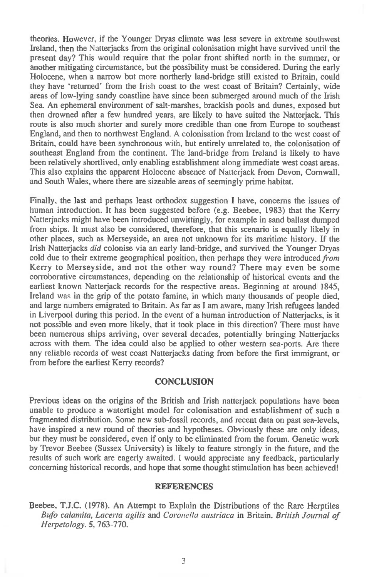theories. However, if the Younger Dryas climate was less severe in extreme southwest Ireland, then the Natterjacks from the original colonisation might have survived until the present day? This would require that the polar front shifted north in the summer, or another mitigating circumstance, but the possibility must be considered. During the early Holocene, when a narrow but more northerly land-bridge still existed to Britain, could they have 'returned' from the Irish coast to the west coast of Britain? Certainly, wide areas of low-lying sandy coastline have since been submerged around much of the Irish Sea. An ephemeral environment of salt-marshes, brackish pools and dunes, exposed but then drowned after a few hundred years, are likely to have suited the Natterjack. This route is also much shorter and surely more credible than one from Europe to southeast England, and then to northwest England. A colonisation from Ireland to the west coast of Britain, could have been synchronous with, but entirely unrelated to, the colonisation of southeast England from the continent. The land-bridge from Ireland is likely to have been relatively shortlived, only enabling establishment along immediate west coast areas. This also explains the apparent Holocene absence of Natterjack from Devon, Cornwall, and South Wales, where there are sizeable areas of seemingly prime habitat.

Finally, the last and perhaps least orthodox suggestion I have, concerns the issues of human introduction. It has been suggested before (e.g. Beebee, 1983) that the Kerry Natterjacks might have been introduced unwittingly, for example in sand ballast dumped from ships. It must also be considered, therefore, that this scenario is equally likely in other places, such as Merseyside, an area not unknown for its maritime history. If the Irish Natterjacks *did* colonise via an early land-bridge, and survived the Younger Dryas cold due to their extreme geographical position, then perhaps they were introduced *from*  Kerry to Merseyside, and not the other way round? There may even be some corroborative circumstances, depending on the relationship of historical events and the earliest known Natterjack records for the respective areas. Beginning at around 1845, Ireland was in the grip of the potato famine, in which many thousands of people died, and large numbers emigrated to Britain. As far as I am aware, many Irish refugees landed in Liverpool during this period. In the event of a human introduction of Natterjacks, is it not possible and even more likely, that it took place in this direction? There must have been numerous ships arriving, over several decades, potentially bringing Natterjacks across with them. The idea could also be applied to other western sea-ports. Are there any reliable records of west coast Natterjacks dating from before the first immigrant, or from before the earliest Kerry records?

## **CONCLUSION**

Previous ideas on the origins of the British and Irish natterjack populations have been unable to produce a watertight model for colonisation and establishment of such a fragmented distribution. Some new sub-fossil records, and recent data on past sea-levels, have inspired a new round of theories and hypotheses. Obviously these are only ideas, but they must be considered, even if only to be eliminated from the forum. Genetic work by Trevor Beebee (Sussex University) is likely to feature strongly in the future, and the results of such work are eagerly awaited. I would appreciate any feedback, particularly concerning historical records, and hope that some thought stimulation has been achieved!

#### **REFERENCES**

Beebee, T.J.C. (1978). An Attempt to Explain the Distributions of the Rare Herptiles *Bufo calamita, Lacerta agilis* and *Coronella austriaca* in Britain. *British Journal of Herpetology.* **5,** 763-770.